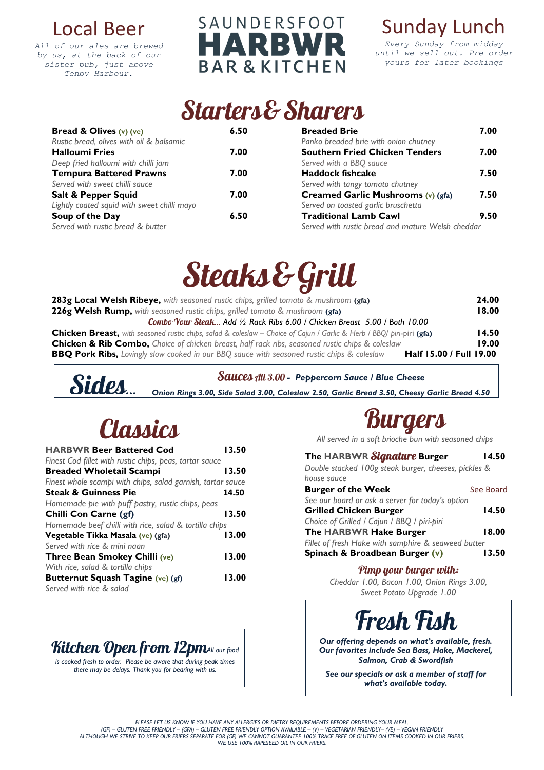### Local Beer

*All of our ales are brewed by us, at the back of our sister pub, just above Tenby Harbour.*

#### SAUNDERSFOOT RWI **PJ** ┫Д **BAR & KITCHEN**

### Sunday Lunch

*Every Sunday from midday until we sell out. Pre order yours for later bookings*

## **Starters& Sharers**

| <b>Bread &amp; Olives <math>(v)</math> (ve)</b> | 6.50 | <b>Breaded Brie</b>                               | 7.00 |
|-------------------------------------------------|------|---------------------------------------------------|------|
| Rustic bread, olives with oil & balsamic        |      | Panko breaded brie with onion chutney             |      |
| <b>Halloumi Fries</b>                           | 7.00 | <b>Southern Fried Chicken Tenders</b>             | 7.00 |
| Deep fried halloumi with chilli jam             |      | Served with a BBQ sauce                           |      |
| <b>Tempura Battered Prawns</b>                  | 7.00 | <b>Haddock fishcake</b>                           | 7.50 |
| Served with sweet chilli sauce                  |      | Served with tangy tomato chutney                  |      |
| Salt & Pepper Squid                             | 7.00 | Creamed Garlic Mushrooms (v) (gfa)                | 7.50 |
| Lightly coated squid with sweet chilli mayo     |      | Served on toasted garlic bruschetta               |      |
| Soup of the Day                                 | 6.50 | <b>Traditional Lamb Cawl</b>                      | 9.50 |
| Served with rustic bread & butter               |      | Served with rustic bread and mature Welsh cheddar |      |

# Steaks&Grill

| <b>283g Local Welsh Ribeye,</b> with seasoned rustic chips, grilled tomato & mushroom (gfa)                                  | 24.00 |
|------------------------------------------------------------------------------------------------------------------------------|-------|
| 226g Welsh Rump, with seasoned rustic chips, grilled tomato & mushroom (gfa)                                                 | 18.00 |
| Combo Your Steak Add 1/2 Rack Ribs 6.00 / Chicken Breast 5.00 / Both 10.00                                                   |       |
| <b>Chicken Breast,</b> with seasoned rustic chips, salad & coleslaw – Choice of Cajun / Garlic & Herb / BBQ/ piri-piri (gfa) | 14.50 |
| <b>Chicken &amp; Rib Combo,</b> Choice of chicken breast, half rack ribs, seasoned rustic chips & coleslaw                   | 19.00 |
| Half 15.00 / Full 19.00<br><b>BBQ Pork Ribs,</b> Lovingly slow cooked in our BBQ sauce with seasoned rustic chips & coleslaw |       |

#### *- Peppercorn Sauce / Blue Cheese*

*Onion Rings 3.00, Side Salad 3.00, Coleslaw 2.50, Garlic Bread 3.50, Cheesy Garlic Bread 4.50*

# Classics

Sides...

| <b>HARBWR Beer Battered Cod</b>                             | 13.50 |
|-------------------------------------------------------------|-------|
| Finest Cod fillet with rustic chips, peas, tartar sauce     |       |
| <b>Breaded Wholetail Scampi</b>                             | 13.50 |
| Finest whole scampi with chips, salad garnish, tartar sauce |       |
| <b>Steak &amp; Guinness Pie</b>                             | 14.50 |
| Homemade pie with puff pastry, rustic chips, peas           |       |
| Chilli Con Carne (gf)                                       | 13.50 |
| Homemade beef chilli with rice, salad & tortilla chips      |       |
| Vegetable Tikka Masala (ve) (gfa)                           | 13.00 |
| Served with rice & mini nagn                                |       |
| Three Bean Smokey Chilli (ve)                               | 13.00 |
| With rice, salad & tortilla chips                           |       |
| Butternut Squash Tagine (ve) (gf)                           | 13.00 |
| Served with rice & salad                                    |       |



*is cooked fresh to order. Please be aware that during peak times there may be delays. Thank you for bearing with us.*



*All served in a soft brioche bun with seasoned chips*

#### **The HARBWR Burger 14.50**

*Double stacked 100g steak burger, cheeses, pickles & house sauce*

| <b>Burger of the Week</b>                           | See Board |
|-----------------------------------------------------|-----------|
| See our board or ask a server for today's option    |           |
| <b>Grilled Chicken Burger</b>                       | 14.50     |
| Choice of Grilled / Cajun / BBQ / piri-piri         |           |
| The HARBWR Hake Burger                              | 18.00     |
| Fillet of fresh Hake with samphire & seaweed butter |           |
| Spinach & Broadbean Burger (v)                      | 13.50     |

#### Pimp your burger with:

*Cheddar 1.00, Bacon 1.00, Onion Rings 3.00, Sweet Potato Upgrade 1.00*



*Our offering depends on what's available, fresh. Our favorites include Sea Bass, Hake, Mackerel, Salmon, Crab & Swordfish*

*See our specials or ask a member of staff for what's available today.*

PLEASE LET US KNOW IF YOU HAVE ANY ALLERGIES OR DIETRY REQUIREMENTS BEFORE ORDERING YOUR MEAL.<br>GF) – GLUTEN FREE FRIENDLY – (GFA) – GLUTEN FREE FRIENDLY OPTION AVAILABLE – (V) – VEGETARIAN FRIENDLY– (VE) – VEGAN FRIENDLY)<br> *WE USE 100% RAPESEED OIL IN OUR FRIERS.*